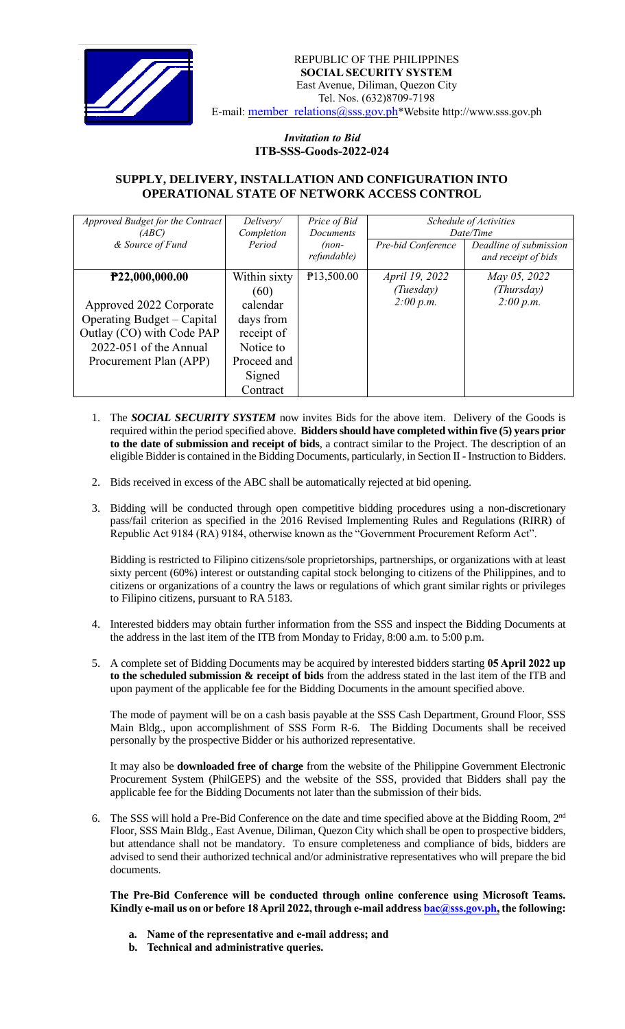

## *Invitation to Bid*  **ITB-SSS-Goods-2022-024**

## **SUPPLY, DELIVERY, INSTALLATION AND CONFIGURATION INTO OPERATIONAL STATE OF NETWORK ACCESS CONTROL**

| Approved Budget for the Contract | Delivery/    | Price of Bid     | Schedule of Activities |                        |
|----------------------------------|--------------|------------------|------------------------|------------------------|
| (ABC)                            | Completion   | <b>Documents</b> | Date/Time              |                        |
| & Source of Fund                 | Period       | $(non-$          | Pre-bid Conference     | Deadline of submission |
|                                  |              | refundable)      |                        | and receipt of bids    |
| P22,000,000.00                   | Within sixty | P13,500.00       | April 19, 2022         | May 05, 2022           |
|                                  | (60)         |                  | (Tuesday)              | (Thursday)             |
| Approved 2022 Corporate          | calendar     |                  | 2:00 p.m.              | 2:00 p.m.              |
| Operating Budget – Capital       | days from    |                  |                        |                        |
| Outlay (CO) with Code PAP        | receipt of   |                  |                        |                        |
| $2022-051$ of the Annual         | Notice to    |                  |                        |                        |
| Procurement Plan (APP)           | Proceed and  |                  |                        |                        |
|                                  | Signed       |                  |                        |                        |
|                                  | Contract     |                  |                        |                        |

- 1. The *SOCIAL SECURITY SYSTEM* now invites Bids for the above item. Delivery of the Goods is required within the period specified above. **Bidders should have completed within five (5) years prior to the date of submission and receipt of bids**, a contract similar to the Project. The description of an eligible Bidder is contained in the Bidding Documents, particularly, in Section II - Instruction to Bidders.
- 2. Bids received in excess of the ABC shall be automatically rejected at bid opening.
- 3. Bidding will be conducted through open competitive bidding procedures using a non-discretionary pass/fail criterion as specified in the 2016 Revised Implementing Rules and Regulations (RIRR) of Republic Act 9184 (RA) 9184, otherwise known as the "Government Procurement Reform Act".

Bidding is restricted to Filipino citizens/sole proprietorships, partnerships, or organizations with at least sixty percent (60%) interest or outstanding capital stock belonging to citizens of the Philippines, and to citizens or organizations of a country the laws or regulations of which grant similar rights or privileges to Filipino citizens, pursuant to RA 5183.

- 4. Interested bidders may obtain further information from the SSS and inspect the Bidding Documents at the address in the last item of the ITB from Monday to Friday, 8:00 a.m. to 5:00 p.m.
- 5. A complete set of Bidding Documents may be acquired by interested bidders starting **05 April 2022 up to the scheduled submission & receipt of bids** from the address stated in the last item of the ITB and upon payment of the applicable fee for the Bidding Documents in the amount specified above.

The mode of payment will be on a cash basis payable at the SSS Cash Department, Ground Floor, SSS Main Bldg., upon accomplishment of SSS Form R-6. The Bidding Documents shall be received personally by the prospective Bidder or his authorized representative.

It may also be **downloaded free of charge** from the website of the Philippine Government Electronic Procurement System (PhilGEPS) and the website of the SSS*,* provided that Bidders shall pay the applicable fee for the Bidding Documents not later than the submission of their bids.

6. The SSS will hold a Pre-Bid Conference on the date and time specified above at the Bidding Room, 2<sup>nd</sup> Floor, SSS Main Bldg., East Avenue, Diliman, Quezon City which shall be open to prospective bidders, but attendance shall not be mandatory. To ensure completeness and compliance of bids, bidders are advised to send their authorized technical and/or administrative representatives who will prepare the bid documents.

**The Pre-Bid Conference will be conducted through online conference using Microsoft Teams. Kindly e-mail us on or before 18April 2022, through e-mail address [bac@sss.gov.ph,](mailto:bac@sss.gov.ph) the following:**

- **a. Name of the representative and e-mail address; and**
- **b. Technical and administrative queries.**